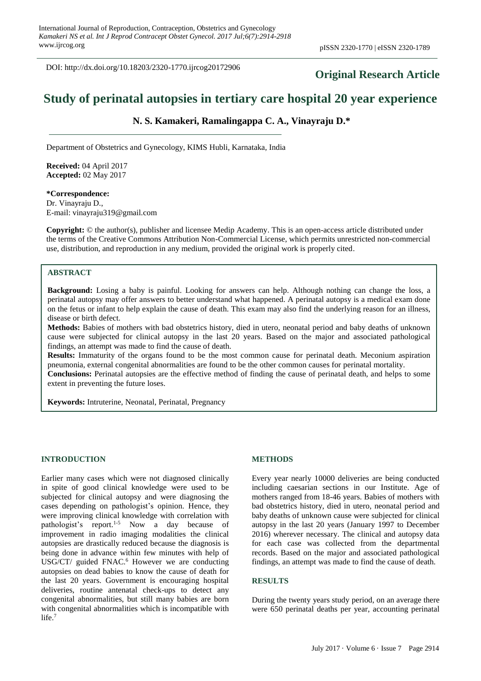DOI: http://dx.doi.org/10.18203/2320-1770.ijrcog20172906

## **Original Research Article**

# **Study of perinatal autopsies in tertiary care hospital 20 year experience**

**N. S. Kamakeri, Ramalingappa C. A., Vinayraju D.\***

Department of Obstetrics and Gynecology, KIMS Hubli, Karnataka, India

**Received:** 04 April 2017 **Accepted:** 02 May 2017

**\*Correspondence:** Dr. Vinayraju D., E-mail: vinayraju319@gmail.com

**Copyright:** © the author(s), publisher and licensee Medip Academy. This is an open-access article distributed under the terms of the Creative Commons Attribution Non-Commercial License, which permits unrestricted non-commercial use, distribution, and reproduction in any medium, provided the original work is properly cited.

### **ABSTRACT**

**Background:** Losing a baby is painful. Looking for answers can help. Although nothing can change the loss, a perinatal autopsy may offer answers to better understand what happened. A perinatal autopsy is a medical exam done on the fetus or infant to help explain the cause of death. This exam may also find the underlying reason for an illness, disease or birth defect.

**Methods:** Babies of mothers with bad obstetrics history, died in utero, neonatal period and baby deaths of unknown cause were subjected for clinical autopsy in the last 20 years. Based on the major and associated pathological findings, an attempt was made to find the cause of death.

**Results:** Immaturity of the organs found to be the most common cause for perinatal death. Meconium aspiration pneumonia, external congenital abnormalities are found to be the other common causes for perinatal mortality.

**Conclusions:** Perinatal autopsies are the effective method of finding the cause of perinatal death, and helps to some extent in preventing the future loses.

**Keywords:** Intruterine, Neonatal, Perinatal, Pregnancy

#### **INTRODUCTION**

Earlier many cases which were not diagnosed clinically in spite of good clinical knowledge were used to be subjected for clinical autopsy and were diagnosing the cases depending on pathologist's opinion. Hence, they were improving clinical knowledge with correlation with pathologist's report.<sup>1-5</sup> Now a day because of improvement in radio imaging modalities the clinical autopsies are drastically reduced because the diagnosis is being done in advance within few minutes with help of USG/CT/ guided FNAC.<sup>6</sup> However we are conducting autopsies on dead babies to know the cause of death for the last 20 years. Government is encouraging hospital deliveries, routine antenatal check-ups to detect any congenital abnormalities, but still many babies are born with congenital abnormalities which is incompatible with life.<sup>7</sup>

#### **METHODS**

Every year nearly 10000 deliveries are being conducted including caesarian sections in our Institute. Age of mothers ranged from 18-46 years. Babies of mothers with bad obstetrics history, died in utero, neonatal period and baby deaths of unknown cause were subjected for clinical autopsy in the last 20 years (January 1997 to December 2016) wherever necessary. The clinical and autopsy data for each case was collected from the departmental records. Based on the major and associated pathological findings, an attempt was made to find the cause of death.

#### **RESULTS**

During the twenty years study period, on an average there were 650 perinatal deaths per year, accounting perinatal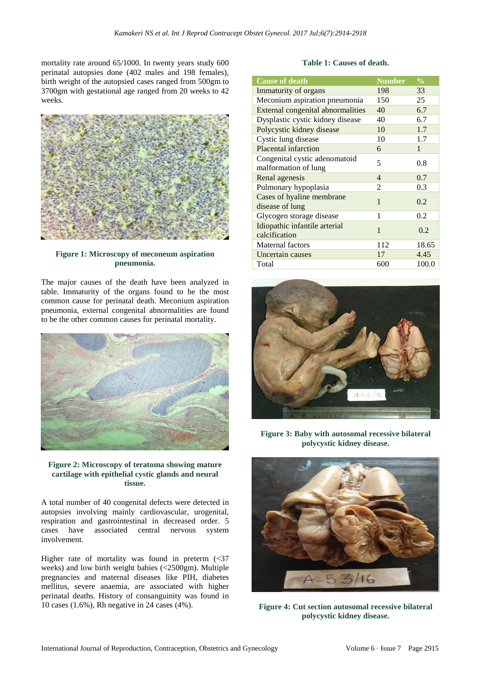mortality rate around 65/1000. In twenty years study 600 perinatal autopsies done (402 males and 198 females), birth weight of the autopsied cases ranged from 500gm to 3700gm with gestational age ranged from 20 weeks to 42 weeks.



**Figure 1: Microscopy of meconeum aspiration pneumonia.**

The major causes of the death have been analyzed in table. Immaturity of the organs found to be the most common cause for perinatal death. Meconium aspiration pneumonia, external congenital abnormalities are found to be the other common causes for perinatal mortality.





A total number of 40 congenital defects were detected in autopsies involving mainly cardiovascular, urogenital, respiration and gastrointestinal in decreased order. 5 cases have associated central nervous system involvement.

Higher rate of mortality was found in preterm  $\langle \langle 37 \rangle$ weeks) and low birth weight babies (<2500gm). Multiple pregnancies and maternal diseases like PIH, diabetes mellitus, severe anaemia, are associated with higher perinatal deaths. History of consanguinity was found in 10 cases (1.6%), Rh negative in 24 cases (4%).

#### **Table 1: Causes of death.**

| <b>Cause of death</b>                                 | <b>Number</b> | $\frac{0}{0}$ |
|-------------------------------------------------------|---------------|---------------|
| Immaturity of organs                                  | 198           | 33            |
| Meconium aspiration pneumonia                         | 150           | 25            |
| <b>External congenital abnormalities</b>              | 40            | 6.7           |
| Dysplastic cystic kidney disease                      | 40            | 6.7           |
| Polycystic kidney disease                             | 10            | 1.7           |
| Cystic lung disease                                   | 10            | 1.7           |
| Placental infarction                                  | 6             | 1             |
| Congenital cystic adenomatoid<br>malformation of lung | 5             | 0.8           |
| Renal agenesis                                        | 4             | 0.7           |
| Pulmonary hypoplasia                                  | 2             | 0.3           |
| Cases of hyaline membrane<br>disease of lung          | $\mathbf{1}$  | 0.2           |
| Glycogen storage disease                              | 1             | 0.2           |
| Idiopathic infantile arterial<br>calcification        | 1             | 0.2           |
| Maternal factors                                      | 112           | 18.65         |
| Uncertain causes                                      | 17            | 4.45          |
| Total                                                 | 600           | 100.0         |



**Figure 3: Baby with autosomal recessive bilateral polycystic kidney disease.**



**Figure 4: Cut section autosomal recessive bilateral polycystic kidney disease.**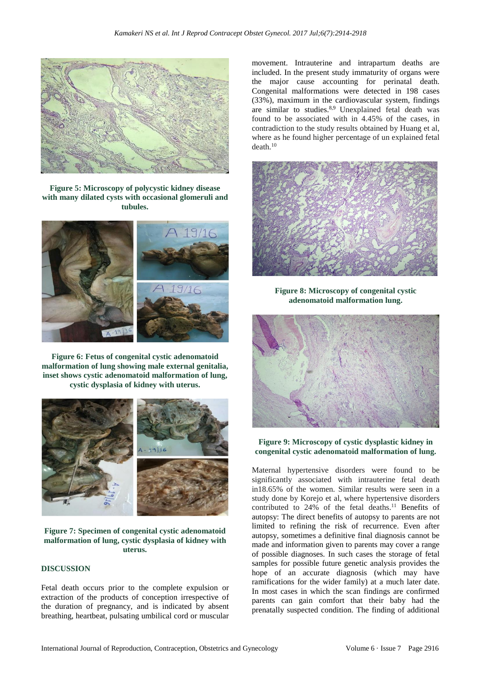

**Figure 5: Microscopy of polycystic kidney disease with many dilated cysts with occasional glomeruli and tubules.**



**Figure 6: Fetus of congenital cystic adenomatoid malformation of lung showing male external genitalia, inset shows cystic adenomatoid malformation of lung, cystic dysplasia of kidney with uterus.**



**Figure 7: Specimen of congenital cystic adenomatoid malformation of lung, cystic dysplasia of kidney with uterus.**

#### **DISCUSSION**

Fetal death occurs prior to the complete expulsion or extraction of the products of conception irrespective of the duration of pregnancy, and is indicated by absent breathing, heartbeat, pulsating umbilical cord or muscular movement. Intrauterine and intrapartum deaths are included. In the present study immaturity of organs were the major cause accounting for perinatal death. Congenital malformations were detected in 198 cases (33%), maximum in the cardiovascular system, findings are similar to studies.<sup>8,9</sup> Unexplained fetal death was found to be associated with in 4.45% of the cases, in contradiction to the study results obtained by Huang et al, where as he found higher percentage of un explained fetal death.<sup>10</sup>



**Figure 8: Microscopy of congenital cystic adenomatoid malformation lung.**



#### **Figure 9: Microscopy of cystic dysplastic kidney in congenital cystic adenomatoid malformation of lung.**

Maternal hypertensive disorders were found to be significantly associated with intrauterine fetal death in18.65% of the women. Similar results were seen in a study done by Korejo et al, where hypertensive disorders contributed to 24% of the fetal deaths.<sup>11</sup> Benefits of autopsy: The direct benefits of autopsy to parents are not limited to refining the risk of recurrence. Even after autopsy, sometimes a definitive final diagnosis cannot be made and information given to parents may cover a range of possible diagnoses. In such cases the storage of fetal samples for possible future genetic analysis provides the hope of an accurate diagnosis (which may have ramifications for the wider family) at a much later date. In most cases in which the scan findings are confirmed parents can gain comfort that their baby had the prenatally suspected condition. The finding of additional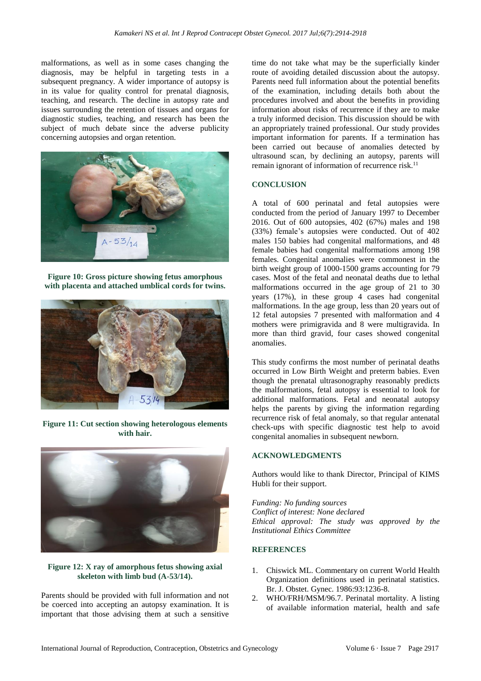malformations, as well as in some cases changing the diagnosis, may be helpful in targeting tests in a subsequent pregnancy. A wider importance of autopsy is in its value for quality control for prenatal diagnosis, teaching, and research. The decline in autopsy rate and issues surrounding the retention of tissues and organs for diagnostic studies, teaching, and research has been the subject of much debate since the adverse publicity concerning autopsies and organ retention.



**Figure 10: Gross picture showing fetus amorphous with placenta and attached umblical cords for twins.**



**Figure 11: Cut section showing heterologous elements with hair.**



#### **Figure 12: X ray of amorphous fetus showing axial skeleton with limb bud (A-53/14).**

Parents should be provided with full information and not be coerced into accepting an autopsy examination. It is important that those advising them at such a sensitive time do not take what may be the superficially kinder route of avoiding detailed discussion about the autopsy. Parents need full information about the potential benefits of the examination, including details both about the procedures involved and about the benefits in providing information about risks of recurrence if they are to make a truly informed decision. This discussion should be with an appropriately trained professional. Our study provides important information for parents. If a termination has been carried out because of anomalies detected by ultrasound scan, by declining an autopsy, parents will remain ignorant of information of recurrence risk. $<sup>11</sup>$ </sup>

### **CONCLUSION**

A total of 600 perinatal and fetal autopsies were conducted from the period of January 1997 to December 2016. Out of 600 autopsies, 402 (67%) males and 198 (33%) female's autopsies were conducted. Out of 402 males 150 babies had congenital malformations, and 48 female babies had congenital malformations among 198 females. Congenital anomalies were commonest in the birth weight group of 1000-1500 grams accounting for 79 cases. Most of the fetal and neonatal deaths due to lethal malformations occurred in the age group of 21 to 30 years  $(17\%)$ , in these group 4 cases had congenital malformations. In the age group, less than 20 years out of 12 fetal autopsies 7 presented with malformation and 4 mothers were primigravida and 8 were multigravida. In more than third gravid, four cases showed congenital anomalies.

This study confirms the most number of perinatal deaths occurred in Low Birth Weight and preterm babies. Even though the prenatal ultrasonography reasonably predicts the malformations, fetal autopsy is essential to look for additional malformations. Fetal and neonatal autopsy helps the parents by giving the information regarding recurrence risk of fetal anomaly, so that regular antenatal check-ups with specific diagnostic test help to avoid congenital anomalies in subsequent newborn.

### **ACKNOWLEDGMENTS**

Authors would like to thank Director, Principal of KIMS Hubli for their support.

*Funding: No funding sources Conflict of interest: None declared Ethical approval: The study was approved by the Institutional Ethics Committee*

### **REFERENCES**

- 1. Chiswick ML. Commentary on current World Health Organization definitions used in perinatal statistics. Br. J. Obstet. Gynec. 1986:93:1236-8.
- 2. WHO/FRH/MSM/96.7. Perinatal mortality. A listing of available information material, health and safe